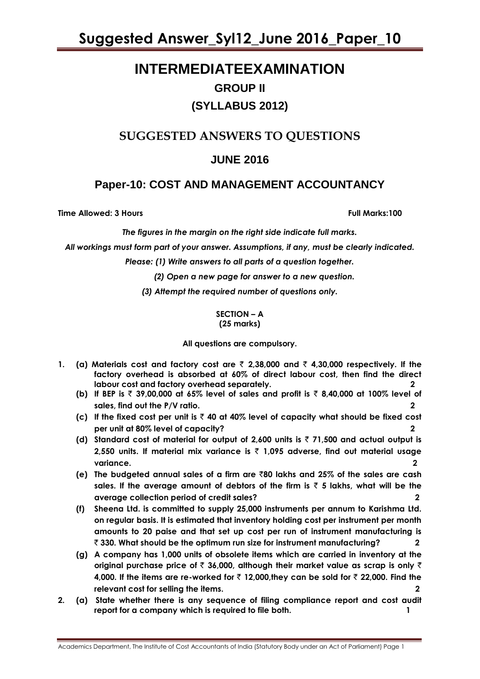# **INTERMEDIATEEXAMINATION GROUP II (SYLLABUS 2012)**

# **SUGGESTED ANSWERS TO QUESTIONS**

# **JUNE 2016**

## **Paper-10: COST AND MANAGEMENT ACCOUNTANCY**

**Time Allowed: 3 Hours Full Marks:100**

*The figures in the margin on the right side indicate full marks.*

*All workings must form part of your answer. Assumptions, if any, must be clearly indicated.*

*Please: (1) Write answers to all parts of a question together.*

*(2) Open a new page for answer to a new question.*

*(3) Attempt the required number of questions only.*

### **SECTION – A (25 marks)**

**All questions are compulsory.**

- **1.** (a) Materials cost and factory cost are  $\bar{\tau}$  2,38,000 and  $\bar{\tau}$  4,30,000 respectively. If the **factory overhead is absorbed at 60% of direct labour cost, then find the direct labour cost and factory overhead separately. 2**
	- **(b) If BEP is** ` **39,00,000 at 65% level of sales and profit is** ` **8,40,000 at 100% level of sales, find out the P/V ratio. 2**
	- **(c) If the fixed cost per unit is** ` **40 at 40% level of capacity what should be fixed cost per unit at 80% level of capacity? 2**
	- (d) Standard cost of material for output of 2,600 units is  $\bar{z}$  71,500 and actual output is **2,550 units. If material mix variance is** ` **1,095 adverse, find out material usage variance. 2**
	- **(e) The budgeted annual sales of a firm are** `**80 lakhs and 25% of the sales are cash**  sales. If the average amount of debtors of the firm is  $\bar{\tau}$  5 lakhs, what will be the **average collection period of credit sales? 2**
	- **(f) Sheena Ltd. is committed to supply 25,000 instruments per annum to Karishma Ltd. on regular basis. It is estimated that inventory holding cost per instrument per month amounts to 20 paise and that set up cost per run of instrument manufacturing is**  ` **330. What should be the optimum run size for instrument manufacturing? 2**
	- **(g) A company has 1,000 units of obsolete items which are carried in inventory at the original purchase price of** ` **36,000, although their market value as scrap is only** ` **4,000. If the items are re-worked for ₹ 12,000,they can be sold for ₹ 22,000. Find the relevant cost for selling the items. 2**
- **2. (a) State whether there is any sequence of filing compliance report and cost audit report for a company which is required to file both. 1**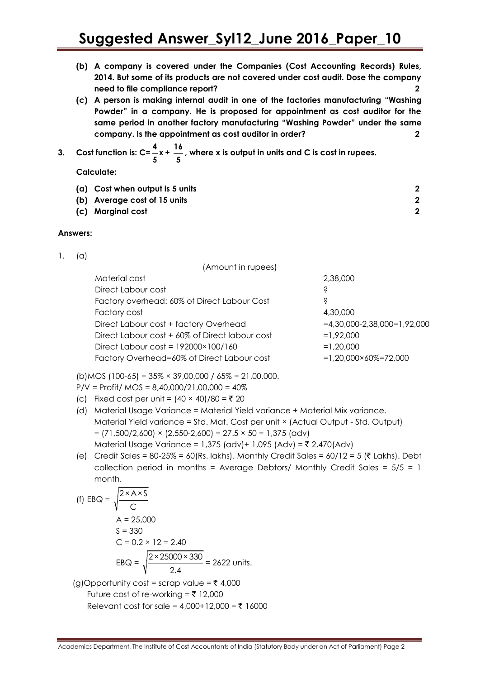- **(b) A company is covered under the Companies (Cost Accounting Records) Rules, 2014. But some of its products are not covered under cost audit. Dose the company need to file compliance report? 2**
- **(c) A person is making internal audit in one of the factories manufacturing "Washing Powder" in a company. He is proposed for appointment as cost auditor for the same period in another factory manufacturing "Washing Powder" under the same company. Is the appointment as cost auditor in order? 2**
- **3. Cost function is: C= 4 x 5 + 16 5 , where x is output in units and C is cost in rupees.**

**Calculate:**

| (a) Cost when output is 5 units |  |
|---------------------------------|--|
| (b) Average cost of 15 units    |  |
| (c) Marginal cost               |  |

### **Answers:**

1. (a)

| (Amount in rupees)                             |                                |
|------------------------------------------------|--------------------------------|
| Material cost                                  | 2,38,000                       |
| Direct Labour cost                             | Ŝ                              |
| Factory overhead: 60% of Direct Labour Cost    | Ŝ                              |
| Factory cost                                   | 4,30,000                       |
| Direct Labour cost + factory Overhead          | $=4,30,000-2,38,000=1,92,000$  |
| Direct Labour cost + 60% of Direct labour cost | $=1.92.000$                    |
| Direct Labour cost = $192000 \times 100 / 160$ | $=1,20,000$                    |
| Factory Overhead=60% of Direct Labour cost     | $=1.20.000\times60\% = 72.000$ |
|                                                |                                |

 $(b)$ MOS (100-65) = 35% × 39,00,000 / 65% = 21,00,000.

 $P/V = Profit / MOS = 8,40,000/21,00,000 = 40%$ 

- (c) Fixed cost per unit =  $(40 \times 40)/80 = ₹ 20$
- (d) Material Usage Variance = Material Yield variance + Material Mix variance. Material Yield variance = Std. Mat. Cost per unit × (Actual Output - Std. Output)  $= (71,500/2,600) \times (2,550-2,600) = 27.5 \times 50 = 1,375$  (adv) Material Usage Variance = 1,375 (adv) + 1,095 (Adv) = ₹ 2,470(Adv)
- (e) Credit Sales = 80-25% = 60(Rs. lakhs). Monthly Credit Sales = 60/12 = 5 ( $\bar{\tau}$  Lakhs). Debt collection period in months = Average Debtors/ Monthly Credit Sales = 5/5 = 1 month.

(f) EBQ = 
$$
\sqrt{\frac{2 \times A \times S}{C}}
$$
  
\nA = 25,000  
\nS = 330  
\nC = 0.2 × 12 = 2.40  
\nEBQ =  $\sqrt{\frac{2 \times 25000 \times 330}{2.4}}$  = 2622 units.  
\n(d)Opportunity cost = scrap value = ₹ 4,000

 $(g)$ Opportunity cost = scrap value =  $\zeta$  4,000 Future cost of re-working =  $\overline{z}$  12,000 Relevant cost for sale =  $4.000+12.000 = ₹ 16000$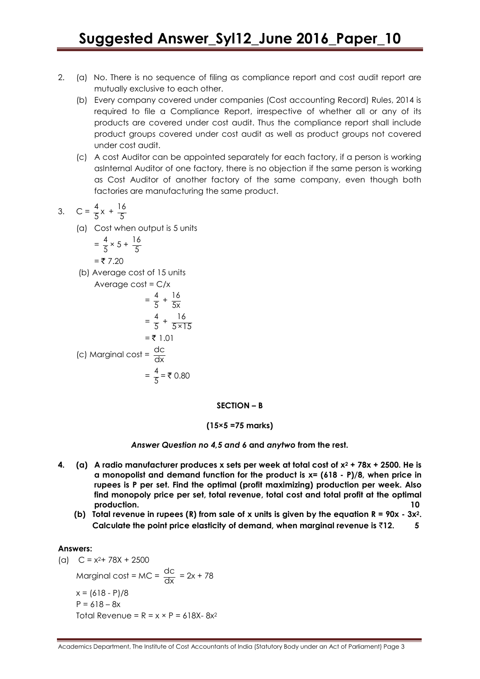- 2. (a) No. There is no sequence of filing as compliance report and cost audit report are mutually exclusive to each other.
	- (b) Every company covered under companies (Cost accounting Record) Rules, 2014 is required to file a Compliance Report, irrespective of whether all or any of its products are covered under cost audit. Thus the compliance report shall include product groups covered under cost audit as well as product groups not covered under cost audit.
	- (c) A cost Auditor can be appointed separately for each factory, if a person is working asInternal Auditor of one factory, there is no objection if the same person is working as Cost Auditor of another factory of the same company, even though both factories are manufacturing the same product.

3. 
$$
C = \frac{4}{5}x + \frac{16}{5}
$$

(a) Cost when output is 5 units

$$
= \frac{4}{5} \times 5 + \frac{16}{5}
$$

$$
=
$$
  $\xi$  7.20

(b) Average cost of 15 units

Average cost = C/x  
\n
$$
= \frac{4}{5} + \frac{16}{5x}
$$
\n
$$
= \frac{4}{5} + \frac{16}{5 \times 15}
$$
\n
$$
= ₹ 1.01
$$
\n(c) Marginal cost =  $\frac{dc}{dx}$   
\n
$$
= \frac{4}{5} = ₹ 0.80
$$

#### **SECTION – B**

### **(15×5 =75 marks)**

### *Answer Question no 4,5 and 6* **and** *anytwo* **from the rest.**

- **4. (a) A radio manufacturer produces x sets per week at total cost of x<sup>2</sup> + 78x + 2500. He is a monopolist and demand function for the product is x= (618 - P)/8, when price in rupees is P per set. Find the optimal (profit maximizing) production per week. Also find monopoly price per set, total revenue, total cost and total profit at the optimal production. 10**
	- **(b) Total revenue in rupees (R) from sale of x units is given by the equation R = 90x - 3x2. Calculate the point price elasticity of demand, when marginal revenue is** `**12. 5**

### **Answers:**

(a)  $C = x^2 + 78x + 2500$ Marginal cost = MC =  $\frac{dc}{dt}$  $\frac{dC}{dx}$  = 2x + 78  $x = (618 - P)/8$  $P = 618 - 8x$ Total Revenue =  $R = x \times P = 618X - 8x^2$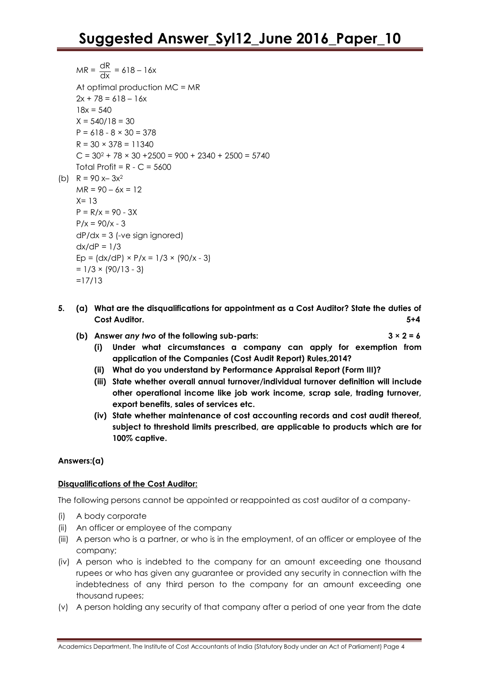- $MR = \frac{dR}{du}$  $\frac{du}{dx} = 618 - 16x$ At optimal production MC = MR  $2x + 78 = 618 - 16x$  $18x = 540$  $X = 540/18 = 30$  $P = 618 - 8 \times 30 = 378$  $R = 30 \times 378 = 11340$  $C = 30^2 + 78 \times 30 + 2500 = 900 + 2340 + 2500 = 5740$ Total Profit =  $R - C = 5600$ (b)  $R = 90 x - 3x^2$  $MR = 90 - 6x = 12$  $X = 13$  $P = R/x = 90 - 3x$  $P/x = 90/x - 3$ dP/dx = 3 (-ve sign ignored)  $dx/dP = 1/3$ Ep =  $\frac{dx}{dP} \times \frac{P}{x} = \frac{1}{3} \times \frac{90}{x - 3}$  $= 1/3 \times (90/13 - 3)$ =17/13
- **5. (a) What are the disqualifications for appointment as a Cost Auditor? State the duties of Cost Auditor. 5+4**
	- **(b)** Answer *any two* of the following sub-parts:  $3 \times 2 = 6$ 
		- **(i) Under what circumstances a company can apply for exemption from application of the Companies (Cost Audit Report) Rules,2014?**
		- **(ii) What do you understand by Performance Appraisal Report (Form III)?**
		- **(iii) State whether overall annual turnover/individual turnover definition will include other operational income like job work income, scrap sale, trading turnover, export benefits, sales of services etc.**
		- **(iv) State whether maintenance of cost accounting records and cost audit thereof, subject to threshold limits prescribed, are applicable to products which are for 100% captive.**

### **Answers:(a)**

### **Disqualifications of the Cost Auditor:**

The following persons cannot be appointed or reappointed as cost auditor of a company-

- (i) A body corporate
- (ii) An officer or employee of the company
- (iii) A person who is a partner, or who is in the employment, of an officer or employee of the company;
- (iv) A person who is indebted to the company for an amount exceeding one thousand rupees or who has given any guarantee or provided any security in connection with the indebtedness of any third person to the company for an amount exceeding one thousand rupees;
- (v) A person holding any security of that company after a period of one year from the date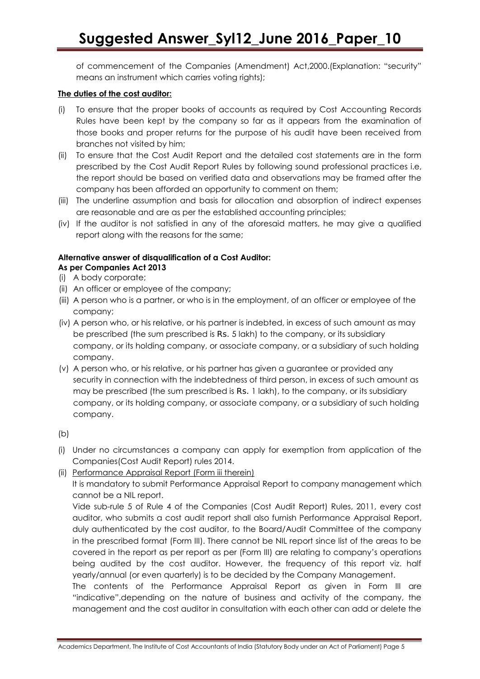of commencement of the Companies (Amendment) Act,2000.(Explanation: "security" means an instrument which carries voting rights);

## **The duties of the cost auditor:**

- (i) To ensure that the proper books of accounts as required by Cost Accounting Records Rules have been kept by the company so far as it appears from the examination of those books and proper returns for the purpose of his audit have been received from branches not visited by him;
- (ii) To ensure that the Cost Audit Report and the detailed cost statements are in the form prescribed by the Cost Audit Report Rules by following sound professional practices i.e, the report should be based on verified data and observations may be framed after the company has been afforded an opportunity to comment on them;
- (iii) The underline assumption and basis for allocation and absorption of indirect expenses are reasonable and are as per the established accounting principles;
- (iv) If the auditor is not satisfied in any of the aforesaid matters, he may give a qualified report along with the reasons for the same;

## **Alternative answer of disqualification of a Cost Auditor:**

- **As per Companies Act 2013**
- (i) A body corporate;
- (ii) An officer or employee of the company;
- (iii) A person who is a partner, or who is in the employment, of an officer or employee of the company;
- (iv) A person who, or his relative, or his partner is indebted, in excess of such amount as may be prescribed (the sum prescribed is Rs. 5 lakh) to the company, or its subsidiary company, or its holding company, or associate company, or a subsidiary of such holding company.
- (v) A person who, or his relative, or his partner has given a guarantee or provided any security in connection with the indebtedness of third person, in excess of such amount as may be prescribed (the sum prescribed is Rs. 1 lakh), to the company, or its subsidiary company, or its holding company, or associate company, or a subsidiary of such holding company.

(b)

- (i) Under no circumstances a company can apply for exemption from application of the Companies(Cost Audit Report) rules 2014.
- (ii) Performance Appraisal Report (Form iii therein)

It is mandatory to submit Performance Appraisal Report to company management which cannot be a NIL report.

Vide sub-rule 5 of Rule 4 of the Companies (Cost Audit Report) Rules, 2011, every cost auditor, who submits a cost audit report shall also furnish Performance Appraisal Report, duly authenticated by the cost auditor, to the Board/Audit Committee of the company in the prescribed format (Form III). There cannot be NIL report since list of the areas to be covered in the report as per report as per (Form III) are relating to company's operations being audited by the cost auditor. However, the frequency of this report viz. half yearly/annual (or even quarterly) is to be decided by the Company Management.

The contents of the Performance Appraisal Report as given in Form III are "indicative",depending on the nature of business and activity of the company, the management and the cost auditor in consultation with each other can add or delete the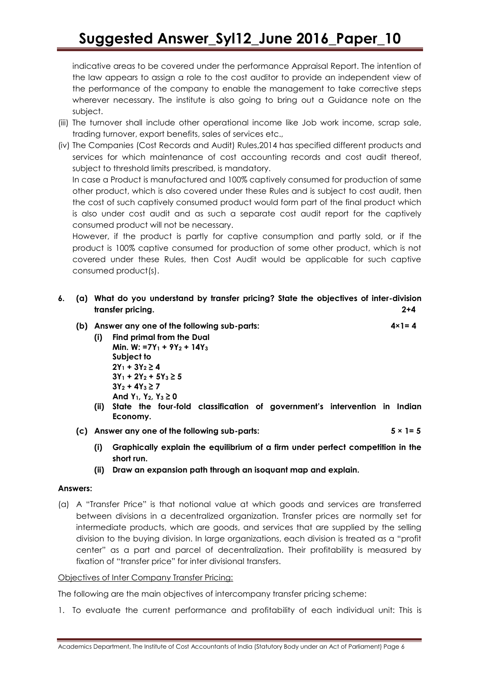indicative areas to be covered under the performance Appraisal Report. The intention of the law appears to assign a role to the cost auditor to provide an independent view of the performance of the company to enable the management to take corrective steps wherever necessary. The institute is also going to bring out a Guidance note on the subject.

- (iii) The turnover shall include other operational income like Job work income, scrap sale, trading turnover, export benefits, sales of services etc.,
- (iv) The Companies (Cost Records and Audit) Rules,2014 has specified different products and services for which maintenance of cost accounting records and cost audit thereof, subject to threshold limits prescribed, is mandatory.

In case a Product is manufactured and 100% captively consumed for production of same other product, which is also covered under these Rules and is subject to cost audit, then the cost of such captively consumed product would form part of the final product which is also under cost audit and as such a separate cost audit report for the captively consumed product will not be necessary.

However, if the product is partly for captive consumption and partly sold, or if the product is 100% captive consumed for production of some other product, which is not covered under these Rules, then Cost Audit would be applicable for such captive consumed product(s).

- **6. (a) What do you understand by transfer pricing? State the objectives of inter-division transfer pricing. 2+4**
	- **(b) Answer any one of the following sub-parts: 4×1= 4**
		- **(i) Find primal from the Dual Min. W: =7Y<sup>1</sup> + 9Y<sup>2</sup> + 14Y<sup>3</sup> Subject to 2Y<sup>1</sup> + 3Y<sup>2</sup> ≥ 4 3Y<sup>1</sup> + 2Y<sup>2</sup> + 5Y<sup>3</sup> ≥ 5 3Y<sup>2</sup> + 4Y<sup>3</sup> ≥ 7 And Y1, Y2, Y<sup>3</sup> ≥ 0**
		- **(ii) State the four-fold classification of government"s intervention in Indian Economy.**
	- **(c) Answer any one of the following sub-parts: 5 × 1= 5**
		- **(i) Graphically explain the equilibrium of a firm under perfect competition in the short run.**
		- **(ii) Draw an expansion path through an isoquant map and explain.**

### **Answers:**

(a) A "Transfer Price" is that notional value at which goods and services are transferred between divisions in a decentralized organization. Transfer prices are normally set for intermediate products, which are goods, and services that are supplied by the selling division to the buying division. In large organizations, each division is treated as a "profit center" as a part and parcel of decentralization. Their profitability is measured by fixation of "transfer price" for inter divisional transfers.

### Objectives of Inter Company Transfer Pricing:

The following are the main objectives of intercompany transfer pricing scheme:

1. To evaluate the current performance and profitability of each individual unit: This is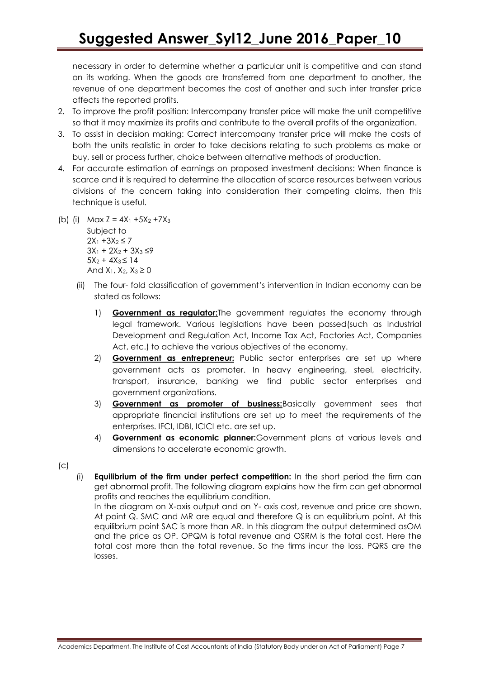necessary in order to determine whether a particular unit is competitive and can stand on its working. When the goods are transferred from one department to another, the revenue of one department becomes the cost of another and such inter transfer price affects the reported profits.

- 2. To improve the profit position: Intercompany transfer price will make the unit competitive so that it may maximize its profits and contribute to the overall profits of the organization.
- 3. To assist in decision making: Correct intercompany transfer price will make the costs of both the units realistic in order to take decisions relating to such problems as make or buy, sell or process further, choice between alternative methods of production.
- 4. For accurate estimation of earnings on proposed investment decisions: When finance is scarce and it is required to determine the allocation of scarce resources between various divisions of the concern taking into consideration their competing claims, then this technique is useful.
- (b) (i) Max  $Z = 4X_1 + 5X_2 + 7X_3$ Subject to  $2X_1 + 3X_2 \le 7$  $3X_1 + 2X_2 + 3X_3 \leq 9$  $5X_2 + 4X_3 \leq 14$ And  $X_1$ ,  $X_2$ ,  $X_3 \ge 0$ 
	- (ii) The four- fold classification of government's intervention in Indian economy can be stated as follows:
		- 1) **Government as regulator:**The government regulates the economy through legal framework. Various legislations have been passed(such as Industrial Development and Regulation Act, Income Tax Act, Factories Act, Companies Act, etc.) to achieve the various objectives of the economy.
		- 2) **Government as entrepreneur:** Public sector enterprises are set up where government acts as promoter. In heavy engineering, steel, electricity, transport, insurance, banking we find public sector enterprises and government organizations.
		- 3) **Government as promoter of business:**Basically government sees that appropriate financial institutions are set up to meet the requirements of the enterprises. IFCI, IDBI, ICICI etc. are set up.
		- 4) **Government as economic planner:**Government plans at various levels and dimensions to accelerate economic growth.
- $(c)$
- (i) **Equilibrium of the firm under perfect competition:** In the short period the firm can get abnormal profit. The following diagram explains how the firm can get abnormal profits and reaches the equilibrium condition.

In the diagram on X-axis output and on Y- axis cost, revenue and price are shown. At point Q. SMC and MR are equal and therefore Q is an equilibrium point. At this equilibrium point SAC is more than AR. In this diagram the output determined asOM and the price as OP. OPQM is total revenue and OSRM is the total cost. Here the total cost more than the total revenue. So the firms incur the loss. PQRS are the losses.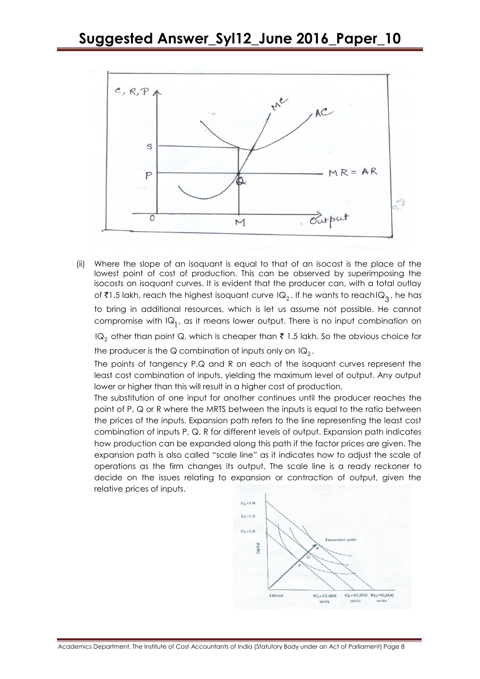

(ii) Where the slope of an isoquant is equal to that of an isocost is the place of the lowest point of cost of production. This can be observed by superimposing the isocosts on isoquant curves. It is evident that the producer can, with a total outlay of ₹1.5 lakh, reach the highest isoquant curve IQ<sub>2</sub> . If he wants to reachIQ<sub>3</sub> , he has to bring in additional resources, which is let us assume not possible. He cannot compromise with  $IQ_1$ , as it means lower output. There is no input combination on lQ $_2$  other than point Q, which is cheaper than  $\bar{\bar{\tau}}$  1.5 lakh. So the obvious choice for

the producer is the Q combination of inputs only on  $\mathsf{IQ}_2^{}$  .

The points of tangency P,Q and R on each of the isoquant curves represent the least cost combination of inputs, yielding the maximum level of output. Any output lower or higher than this will result in a higher cost of production.

The substitution of one input for another continues until the producer reaches the point of P, Q or R where the MRTS between the inputs is equal to the ratio between the prices of the inputs. Expansion path refers to the line representing the least cost combination of inputs P, Q, R for different levels of output. Expansion path indicates how production can be expanded along this path if the factor prices are given. The expansion path is also called "scale line" as it indicates how to adjust the scale of operations as the firm changes its output. The scale line is a ready reckoner to decide on the issues relating to expansion or contraction of output, given the relative prices of inputs.

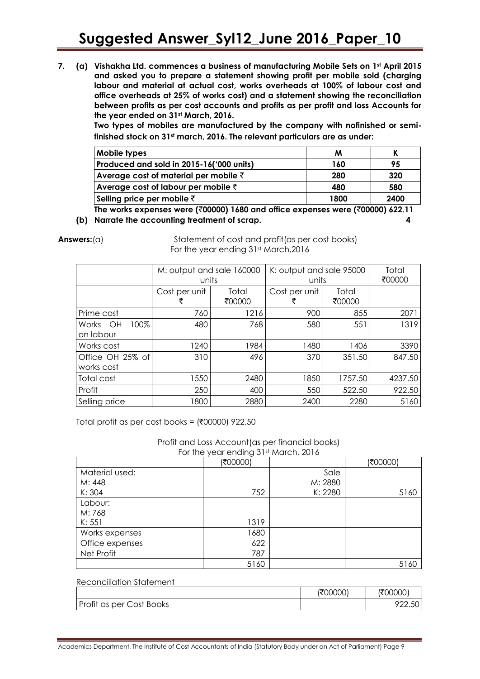**7. (a) Vishakha Ltd. commences a business of manufacturing Mobile Sets on 1st April 2015 and asked you to prepare a statement showing profit per mobile sold (charging labour and material at actual cost, works overheads at 100% of labour cost and office overheads at 25% of works cost) and a statement showing the reconciliation between profits as per cost accounts and profits as per profit and loss Accounts for the year ended on 31st March, 2016.**

**Two types of mobiles are manufactured by the company with nofinished or semifinished stock on 31st march, 2016. The relevant particulars are as under:**

| 95   |
|------|
| 320  |
| 580  |
| 2400 |
|      |

**The works expenses were (**`**00000) 1680 and office expenses were (**`**00000) 622.11 (b) Narrate the accounting treatment of scrap. 4**

**Answers:**(a) Statement of cost and profit(as per cost books) For the year ending 31st March, 2016

|                                | M: output and sale 160000<br>units |                 | K: output and sale 95000<br>units |                 | Total<br>₹00000 |
|--------------------------------|------------------------------------|-----------------|-----------------------------------|-----------------|-----------------|
|                                | Cost per unit                      | Total<br>₹00000 | Cost per unit                     | Total<br>₹00000 |                 |
| Prime cost                     | 760                                | 1216            | 900                               | 855             | 2071            |
| 100%<br>Works OH<br>on labour  | 480                                | 768             | 580                               | 551             | 1319            |
| Works cost                     | 1240                               | 1984            | 1480                              | 1406            | 3390            |
| Office OH 25% of<br>works cost | 310                                | 496             | 370                               | 351.50          | 847.50          |
| Total cost                     | 1550                               | 2480            | 1850                              | 1757.50         | 4237.50         |
| Profit                         | 250                                | 400             | 550                               | 522.50          | 922.50          |
| Selling price                  | 1800                               | 2880            | 2400                              | 2280            | 5160            |

Total profit as per cost books =  $(700000)$  922.50

Profit and Loss Account(as per financial books) For the year ending 31st March, 2016

|                 | (₹00000) |         | (₹00000) |
|-----------------|----------|---------|----------|
| Material used:  |          | Sale    |          |
| M: 448          |          | M: 2880 |          |
| K: 304          | 752      | K: 2280 | 5160     |
| Labour:         |          |         |          |
| M: 768          |          |         |          |
| K: 551          | 1319     |         |          |
| Works expenses  | 1680     |         |          |
| Office expenses | 622      |         |          |
| Net Profit      | 787      |         |          |
|                 | 5160     |         | 5160     |

## Reconciliation Statement (₹00000) | (₹00000) Profit as per Cost Books 22.50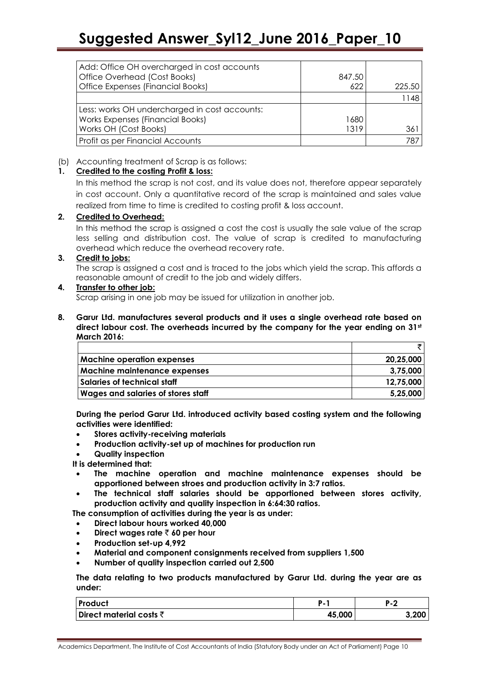| Add: Office OH overcharged in cost accounts<br>Office Overhead (Cost Books) | 847.50 |        |
|-----------------------------------------------------------------------------|--------|--------|
| Office Expenses (Financial Books)                                           | 622    | 225.50 |
|                                                                             |        | 1148   |
| Less: works OH undercharged in cost accounts:                               |        |        |
| Works Expenses (Financial Books)                                            | 1680   |        |
| Works OH (Cost Books)                                                       | 1319.  | 361    |
| Profit as per Financial Accounts                                            |        | 787    |

### (b) Accounting treatment of Scrap is as follows:

## **1. Credited to the costing Profit & loss:**

In this method the scrap is not cost, and its value does not, therefore appear separately in cost account. Only a quantitative record of the scrap is maintained and sales value realized from time to time is credited to costing profit & loss account.

## **2. Credited to Overhead:**

In this method the scrap is assigned a cost the cost is usually the sale value of the scrap less selling and distribution cost. The value of scrap is credited to manufacturing overhead which reduce the overhead recovery rate.

### **3. Credit to jobs:**

The scrap is assigned a cost and is traced to the jobs which yield the scrap. This affords a reasonable amount of credit to the job and widely differs.

### **4. Transfer to other job:**

Scrap arising in one job may be issued for utilization in another job.

**8. Garur Ltd. manufactures several products and it uses a single overhead rate based on direct labour cost. The overheads incurred by the company for the year ending on 31st March 2016:**

| Machine operation expenses          | 20,25,000 |
|-------------------------------------|-----------|
| <b>Machine maintenance expenses</b> | 3.75.000  |
| Salaries of technical staff         | 12.75.000 |
| Wages and salaries of stores staff  | 5,25,000  |

**During the period Garur Ltd. introduced activity based costing system and the following activities were identified:**

- **Stores activity-receiving materials**
- **Production activity-set up of machines for production run**
- **Quality inspection**

**It is determined that:**

- **The machine operation and machine maintenance expenses should be apportioned between stroes and production activity in 3:7 ratios.**
- **The technical staff salaries should be apportioned between stores activity, production activity and quality inspection in 6:64:30 ratios.**

**The consumption of activities during the year is as under:**

- **Direct labour hours worked 40,000**
- **Direct wages rate** ` **60 per hour**
- **Production set-up 4,992**
- **Material and component consignments received from suppliers 1,500**
- **Number of quality inspection carried out 2,500**

**The data relating to two products manufactured by Garur Ltd. during the year are as under:**

| <b>Product</b>                     | D      | в     |
|------------------------------------|--------|-------|
| Direct material costs $\bar{\tau}$ | 45,000 | 3,200 |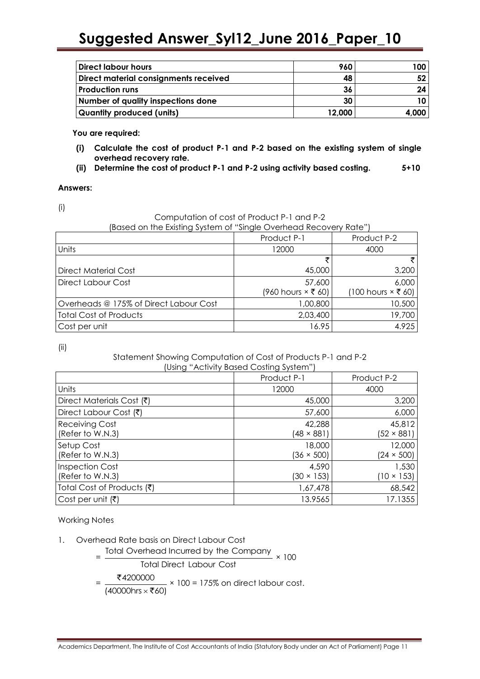| <b>Direct labour hours</b>            | 960    | 100   |
|---------------------------------------|--------|-------|
| Direct material consignments received | 48     |       |
| <b>Production runs</b>                | 36     |       |
| Number of quality inspections done    | 30     |       |
| <b>Quantity produced (units)</b>      | 12,000 | 4.000 |

**You are required:**

- **(i) Calculate the cost of product P-1 and P-2 based on the existing system of single overhead recovery rate.**
- **(ii) Determine the cost of product P-1 and P-2 using activity based costing. 5+10**

#### **Answers:**

(i)

Computation of cost of Product P-1 and P-2

(Based on the Existing System of "Single Overhead Recovery Rate")

|                                        | Product P-1                 | Product P-2                 |
|----------------------------------------|-----------------------------|-----------------------------|
| Units                                  | 12000                       | 4000                        |
|                                        | ₹                           | ₹                           |
| Direct Material Cost                   | 45,000                      | 3,200                       |
| Direct Labour Cost                     | 57,600                      | 6,000                       |
|                                        | $(960$ hours $\times$ ₹ 60) | $(100$ hours $\times$ ₹ 60) |
| Overheads @ 175% of Direct Labour Cost | 1,00,800                    | 10,500                      |
| <b>Total Cost of Products</b>          | 2,03,400                    | 19,700                      |
| Cost per unit                          | 16.95                       | 4.925                       |

(ii)

#### Statement Showing Computation of Cost of Products P-1 and P-2 (Using "Activity Based Costing System")

|                                            | Product P-1                 | Product P-2                 |
|--------------------------------------------|-----------------------------|-----------------------------|
| Units                                      | 12000                       | 4000                        |
| Direct Materials Cost (₹)                  | 45,000                      | 3,200                       |
| Direct Labour Cost (₹)                     | 57,600                      | 6,000                       |
| <b>Receiving Cost</b><br>(Refer to W.N.3)  | 42,288<br>$(48 \times 881)$ | 45,812<br>$(52 \times 881)$ |
| Setup Cost<br>(Refer to W.N.3)             | 18,000<br>$(36 \times 500)$ | 12,000<br>$(24 \times 500)$ |
| <b>Inspection Cost</b><br>(Refer to W.N.3) | 4,590<br>$(30 \times 153)$  | 1,530<br>(10 × 153)         |
| Total Cost of Products (₹)                 | 1,67,478                    | 68,542                      |
| Cost per unit (₹)                          | 13.9565                     | 17.1355                     |

Working Notes

- 1. Overhead Rate basis on Direct Labour Cost
- erhead Rate basis on Direct Labour Cost<br>= Total Overhead Incurred by the Company × 100

Total Direct Labour Cost

$$
= \frac{\text{₹4200000}}{(40000 \text{hrs} \times \text{₹60})} \times 100 = 175\% \text{ on direct labour cost.}
$$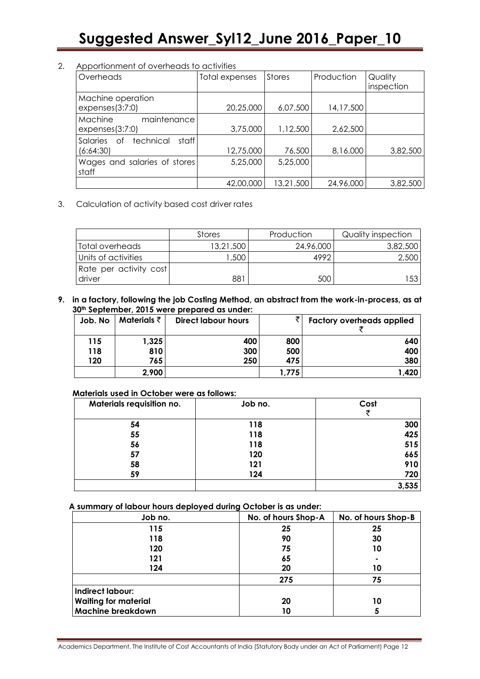### 2. Apportionment of overheads to activities

| Overheads                                         | Total expenses | <b>Stores</b> | Production | Quality    |
|---------------------------------------------------|----------------|---------------|------------|------------|
|                                                   |                |               |            | inspection |
| Machine operation<br>expenses(3:7:0)              | 20,25,000      | 6,07,500      | 14,17,500  |            |
| Machine<br>maintenance<br>expenses(3:7:0)         | 3,75,000       | 1,12,500      | 2,62,500   |            |
| technical<br>staff<br>Salaries<br>Οf<br>(6:64:30) | 12,75,000      | 76,500        | 8,16,000   | 3,82,500   |
| Wages and salaries of stores<br>staff             | 5,25,000       | 5,25,000      |            |            |
|                                                   | 42,00,000      | 13,21,500     | 24,96,000  | 3,82,500   |

3. Calculation of activity based cost driver rates

|                        | Stores    | Production | Quality inspection |
|------------------------|-----------|------------|--------------------|
| Total overheads        | 13,21,500 | 24,96,000  | 3,82,500           |
| Units of activities    | ,500      | 4992       | 2,500              |
| Rate per activity cost |           |            |                    |
| driver                 | 881       | 500        | 53                 |

**9. in a factory, following the job Costing Method, an abstract from the work-in-process, as at 30th September, 2015 were prepared as under:**

| Job. No | Materials $\bar{\tau}$ | <b>Direct labour hours</b> |      | <b>Factory overheads applied</b> |
|---------|------------------------|----------------------------|------|----------------------------------|
| 115     | 1,325                  | 400                        | 800  | 640                              |
| 118     | 810                    | 300                        | 500  | 400                              |
| 120     | 765                    | 250                        | 475  | 380                              |
|         | 2,900                  |                            | .775 | 1,420                            |

### **Materials used in October were as follows:**

| Materials requisition no. | Job no. | Cost  |
|---------------------------|---------|-------|
| 54                        | 118     | 300   |
| 55                        | 118     | 425   |
| 56                        | 118     | 515   |
| 57                        | 120     | 665   |
| 58                        | 121     | 910   |
| 59                        | 124     | 720   |
|                           |         | 3,535 |

**A summary of labour hours deployed during October is as under:**

| Job no.                     | No. of hours Shop-A | No. of hours Shop-B |  |
|-----------------------------|---------------------|---------------------|--|
| 115                         | 25                  | 25                  |  |
| 118                         | 90                  | 30                  |  |
| 120                         | 75                  | 10                  |  |
| 121                         | 65                  | $\blacksquare$      |  |
| 124                         | 20                  | 10                  |  |
|                             | 275                 | 75                  |  |
| Indirect labour:            |                     |                     |  |
| <b>Waiting for material</b> | 20                  | 10                  |  |
| <b>Machine breakdown</b>    | 10                  | 5                   |  |